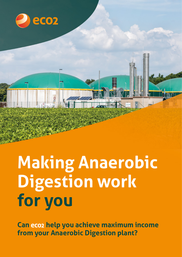

# **Making Anaerobic Digestion work for you**

**Can help you achieve maximum income from your Anaerobic Digestion plant?**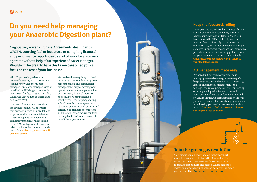Negotiating Power Purchase Agreements, dealing with OFGEM, sourcing fuel or feedstock, or compiling financial and performance reports can be a lot of work for an owneroperator without help of an experienced Asset Manager. Wouldn't it be great to have this taken care of, so you can focus on the rest of your business?

## **Do you need help managing your Anaerobic Digestion plant?**

With 20 years of experience in renewable energy, Eco2 are the UK's leading renewable energy asset manager. Our teams manage assets on behalf of the UK's biggest renewables investment funds, across East Anglia, Wales, the East Midlands, North East and North West.

Our network means we can deliver the savings to small AD operators that previously were only available to large renewable investors. Whether it is sourcing parts or feedstock at competitive pricing, or negotiating better PPAs with power off-takers, our relationships and economies of scale mean that with Eco2, your asset will perform better.

We can handle everything involved in running a renewable energy asset, across technical and commercial management, project development, operational asset management, fuel procurement, financial reporting and regulatory compliance. So whether you need help negotiating a Gas/Power Purchase Agreement, obtaining environmental permits and consents, or managing contractors and financial reporting, we can take the angst out of AD, and do as much or as little as you require.

#### **Keep the feedstock rolling**

Every year, we source a million tonnes of straw and other biomass for bioenergy plants in Lincolnshire, Norfolk, and South Wales. Our teams across the UK deal directly with the fuel and feedstock supply chain, as well as operating 150,000 tonnes of feedstock storage capacity. Our network means we can maintain a predictable and consistent supply of feedstock for your AD plant, at the best value available. Call us now to find out how we can improve your feedstock supply.

#### **AD management made easy**

We have built our own software to make managing renewable energy assets easy. Our bespoke software handles contract, inventory, logistic and financial management, and manages the whole process of fuel contracting, ordering and logistics, from end-to-end. Because our software is built and maintained by Eco2 in-house, we can adapt it to fit the way you want to work, adding or changing whatever functionality you need, at low cost and without fuss. Call us now to find out how our software can help manage your plant.



### **Join the green gas revolution**

Your biogas could be worth more in the transport market than it can make from the Renewable Heat Incentive. The market in renewable transport fuels is growing fast as more and more hauliers make the switch to biomethane fuel. You can be part of the green gas vanguard too. Call us now to find out how.